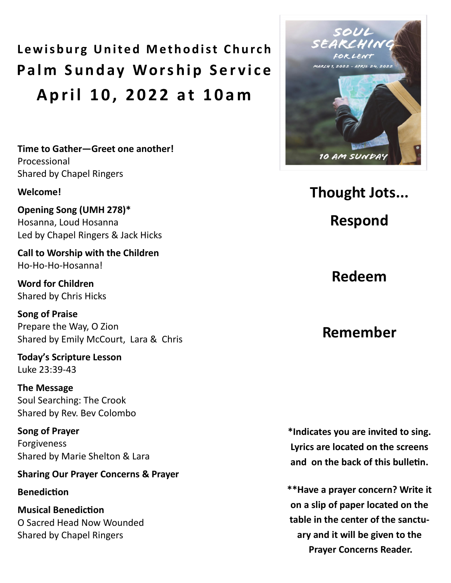**Lewisburg United Methodist Church Palm Sunday Worship Service A p r i l 1 0 , 2 0 2 2 a t 1 0 a m**

**Time to Gather—Greet one another!**  Processional Shared by Chapel Ringers

#### **Welcome!**

**Opening Song (UMH 278)\*** Hosanna, Loud Hosanna Led by Chapel Ringers & Jack Hicks

**Call to Worship with the Children** Ho-Ho-Ho-Hosanna!

**Word for Children** Shared by Chris Hicks

**Song of Praise** Prepare the Way, O Zion Shared by Emily McCourt, Lara & Chris

**Today's Scripture Lesson** Luke 23:39-43

**The Message** Soul Searching: The Crook Shared by Rev. Bev Colombo

**Song of Prayer** Forgiveness Shared by Marie Shelton & Lara

### **Sharing Our Prayer Concerns & Prayer**

**Benediction**

**Musical Benediction** O Sacred Head Now Wounded Shared by Chapel Ringers



**Thought Jots...** 

**Respond**

**Redeem**

## **Remember**

**\*Indicates you are invited to sing. Lyrics are located on the screens and on the back of this bulletin.** 

**\*\*Have a prayer concern? Write it on a slip of paper located on the table in the center of the sanctuary and it will be given to the Prayer Concerns Reader.**